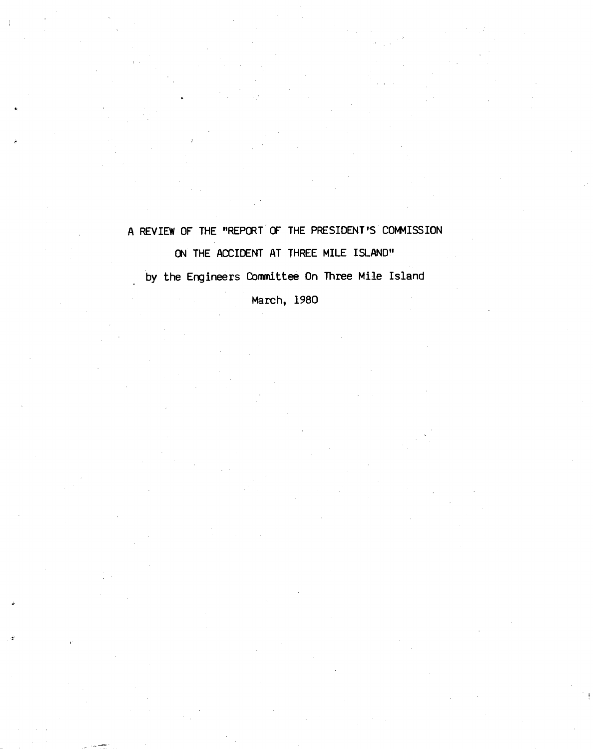## A REVIEW OF THE "REPORT OF THE PRESIDENT'S COMMISSION ON THE ACCIDENT AT THREE MILE ISLAND"

by the Ergineers Committee On Three Mile Island

March, 1980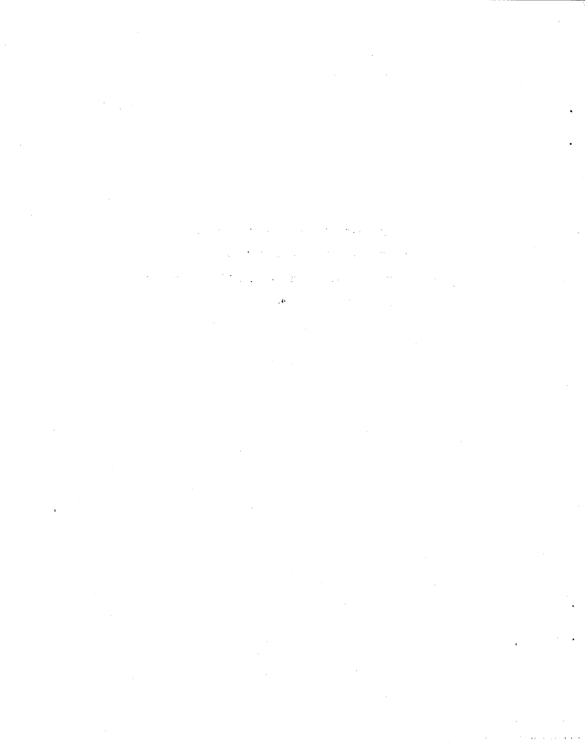$\label{eq:2.1} \frac{1}{\sqrt{2}}\int_{\mathbb{R}^3}\frac{1}{\sqrt{2}}\left(\frac{1}{\sqrt{2}}\right)^2\frac{1}{\sqrt{2}}\left(\frac{1}{\sqrt{2}}\right)^2\frac{1}{\sqrt{2}}\left(\frac{1}{\sqrt{2}}\right)^2\frac{1}{\sqrt{2}}\left(\frac{1}{\sqrt{2}}\right)^2.$  $\mathcal{L}(\mathcal{L}^{\mathcal{L}})$  and  $\mathcal{L}^{\mathcal{L}}$  are the set of the set of  $\mathcal{L}^{\mathcal{L}}$ 

# $\label{eq:2.1} \frac{1}{\sqrt{2}}\int_{\mathbb{R}^3}\frac{1}{\sqrt{2}}\left(\frac{1}{\sqrt{2}}\right)^2\frac{1}{\sqrt{2}}\left(\frac{1}{\sqrt{2}}\right)^2\frac{1}{\sqrt{2}}\left(\frac{1}{\sqrt{2}}\right)^2\frac{1}{\sqrt{2}}\left(\frac{1}{\sqrt{2}}\right)^2\frac{1}{\sqrt{2}}\left(\frac{1}{\sqrt{2}}\right)^2\frac{1}{\sqrt{2}}\frac{1}{\sqrt{2}}\frac{1}{\sqrt{2}}\frac{1}{\sqrt{2}}\frac{1}{\sqrt{2}}\frac{1}{\sqrt{2}}$

 $\sim$  $\label{eq:2.1} \mathcal{L}_{\mathcal{A}}(\mathcal{A})=\mathcal{L}_{\mathcal{A}}(\mathcal{A})=\mathcal{L}_{\mathcal{A}}(\mathcal{A})=\mathcal{L}_{\mathcal{A}}(\mathcal{A})=\mathcal{L}_{\mathcal{A}}(\mathcal{A})=\mathcal{L}_{\mathcal{A}}(\mathcal{A})=\mathcal{L}_{\mathcal{A}}(\mathcal{A})=\mathcal{L}_{\mathcal{A}}(\mathcal{A})=\mathcal{L}_{\mathcal{A}}(\mathcal{A})=\mathcal{L}_{\mathcal{A}}(\mathcal{A})=\mathcal{L}_{\mathcal{A}}(\mathcal{A})=\mathcal{L}_{\mathcal{A}}(\$ 

 $\label{eq:2.1} \mathcal{L}_{\mathcal{A}}(\mathcal{A}) = \frac{1}{2} \sum_{i=1}^n \mathcal{L}_{\mathcal{A}}(\mathcal{A}) \mathcal{L}_{\mathcal{A}}(\mathcal{A}) = \frac{1}{2} \sum_{i=1}^n \mathcal{L}_{\mathcal{A}}(\mathcal{A}) \mathcal{L}_{\mathcal{A}}(\mathcal{A}) = \frac{1}{2} \sum_{i=1}^n \mathcal{L}_{\mathcal{A}}(\mathcal{A}) \mathcal{L}_{\mathcal{A}}(\mathcal{A}) = \frac{1}{2} \sum_{i=1}^n \mathcal{L}_{\mathcal{A}}(\mathcal{A$ . The contribution of the space of  $\mathcal{L}$  is the contribution of the contribution of  $\mathcal{L}$  $\label{eq:R1} \mathcal{A}^{\text{R}}_{\text{max}} = \mathcal{A}^{\text{R}}_{\text{max}} + \mathcal{A}^{\text{R}}_{\text{max}} + \mathcal{A}^{\text{R}}_{\text{max}} + \mathcal{A}^{\text{R}}_{\text{max}}$ 

 $\label{eq:2.1} \frac{1}{\sqrt{2}}\int_{\mathbb{R}^3} \frac{1}{\sqrt{2}}\left(\frac{1}{\sqrt{2}}\right)^2\left(\frac{1}{\sqrt{2}}\right)^2\left(\frac{1}{\sqrt{2}}\right)^2\left(\frac{1}{\sqrt{2}}\right)^2\left(\frac{1}{\sqrt{2}}\right)^2\left(\frac{1}{\sqrt{2}}\right)^2.$  $\label{eq:2.1} \frac{1}{\sqrt{2}}\left(\frac{1}{\sqrt{2}}\right)^{2} \left(\frac{1}{\sqrt{2}}\right)^{2} \left(\frac{1}{\sqrt{2}}\right)^{2} \left(\frac{1}{\sqrt{2}}\right)^{2} \left(\frac{1}{\sqrt{2}}\right)^{2} \left(\frac{1}{\sqrt{2}}\right)^{2} \left(\frac{1}{\sqrt{2}}\right)^{2} \left(\frac{1}{\sqrt{2}}\right)^{2} \left(\frac{1}{\sqrt{2}}\right)^{2} \left(\frac{1}{\sqrt{2}}\right)^{2} \left(\frac{1}{\sqrt{2}}\right)^{2} \left(\$ 

 $\label{eq:2.1} \frac{1}{\sqrt{2}}\int_{\mathbb{R}^3}\frac{1}{\sqrt{2}}\left(\frac{1}{\sqrt{2}}\right)^2\frac{1}{\sqrt{2}}\left(\frac{1}{\sqrt{2}}\right)^2\frac{1}{\sqrt{2}}\left(\frac{1}{\sqrt{2}}\right)^2.$ 

 $\label{eq:2.1} \frac{1}{\sqrt{2\pi}}\int_{\mathbb{R}^3}\frac{1}{\sqrt{2\pi}}\int_{\mathbb{R}^3}\frac{1}{\sqrt{2\pi}}\int_{\mathbb{R}^3}\frac{1}{\sqrt{2\pi}}\int_{\mathbb{R}^3}\frac{1}{\sqrt{2\pi}}\int_{\mathbb{R}^3}\frac{1}{\sqrt{2\pi}}\int_{\mathbb{R}^3}\frac{1}{\sqrt{2\pi}}\int_{\mathbb{R}^3}\frac{1}{\sqrt{2\pi}}\int_{\mathbb{R}^3}\frac{1}{\sqrt{2\pi}}\int_{\mathbb{R}^3}\frac{1$ 

 $\label{eq:2.1} \frac{1}{\sqrt{2}}\sum_{i=1}^n\frac{1}{\sqrt{2}}\left(\frac{1}{\sqrt{2}}\sum_{i=1}^n\frac{1}{\sqrt{2}}\sum_{i=1}^n\frac{1}{\sqrt{2}}\right)\left(\frac{1}{\sqrt{2}}\sum_{i=1}^n\frac{1}{\sqrt{2}}\sum_{i=1}^n\frac{1}{\sqrt{2}}\right).$  $\label{eq:1} \mathcal{L}(\mathcal{L}^{(1)}_{\mathcal{L}}) = \exp\left(-\mathbf{e}^{-\mathbf{e}_{\mathcal{L}}}\mathbf{e}^{-\mathbf{e}_{\mathcal{L}}}\mathbf{e}^{-\mathbf{e}_{\mathcal{L}}}\mathbf{e}^{-\mathbf{e}_{\mathcal{L}}}\mathbf{e}^{-\mathbf{e}_{\mathcal{L}}}\mathbf{e}^{-\mathbf{e}_{\mathcal{L}}}\mathbf{e}^{-\mathbf{e}_{\mathcal{L}}}\right)$  $\alpha_{\rm{eff}}$ 

 $\bullet$  .

 $\label{eq:2} \frac{1}{\sqrt{2}}\int_0^1\frac{dx}{\sqrt{2\pi}}\,dx$ 

 $\mathcal{A}^{\mathcal{A}}$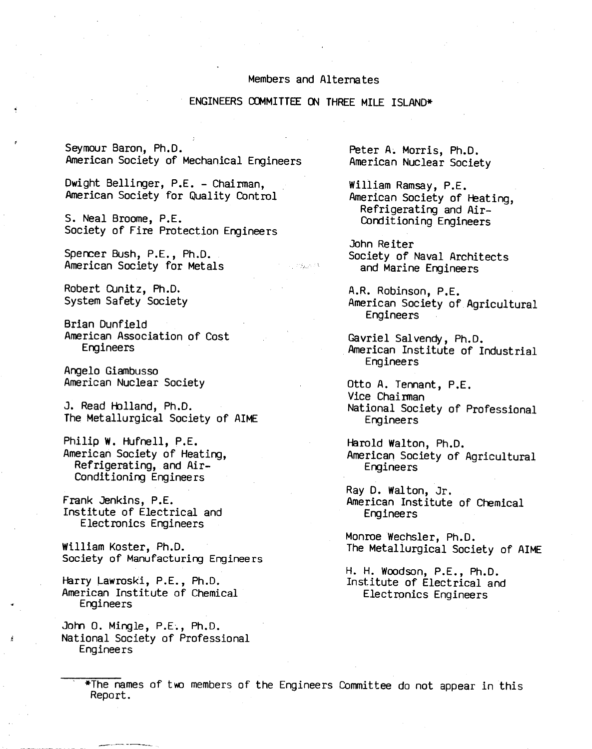### Members and Alternates

### ENGINEERS COMMITTEE ON THREE MILE ISLAND\*

ಾತ್ರವಾಗಿ ತಿ

Seymour Baron, Ph.D. American Society of Mechanical Engineers

Dwight Bellinger, P.E. - Chairman, American Society for Quality COntrol

S. Neal Broome, P.E. Society of Fire Protection Engineers

Spencer Bush, P.E., Ph.D. American Society for Metals

Robert Cunitz, Ph.D. System Safety Society

Brian Dunfield American Association of Cost Engineers

Angelo Giambusso American Nuclear Society

J. Read Holland, Ph.D. The Metallurgical Society of AIME

Philip W. Hufnell, P.E. American Society of Heating, Refrigerating, and Air-Conditioning Engineers

Frank Jenkins, P.E. Institute of Electrical and Electronics Engineers

William Koster, Ph.D. Society of Manufacturing Engineers

Harry Lawroski, P.E., Ph.D. American Institute of *Chemical* Engineers

John O. Mingle, P.E'., Ph.D. National Society of Professional Engineers

Peter A. Morris, Ph.D. American Nuclear Society

William Ramsay, P.E. American Society of Heating, Refrigerating and Air-COnditioning Engineers

John Reiter Society of Naval Architects and Marine Engineers

A.R. Robinson, P.E. American Society of Agricultural Engineers

Gavriel Salvendy, Ph.D. American Institute of Industrial Engineers

otto A. Tennant, P.E. Vice Chairman National Society of Professional Engineers

Harold Walton, Ph.D. American Society of Agricultural Engineers

Ray D. Walton, Jr. American Institute of Chemical Engineers

Monroe Wechsler, Ph.D. The Metallurgical Society of AIME

H. H. Woodson, P.E., Ph.D. Institute of Electrical and Electronics Engineers

\*The names of two members of the Engineers COmmittee do not appear in this Report.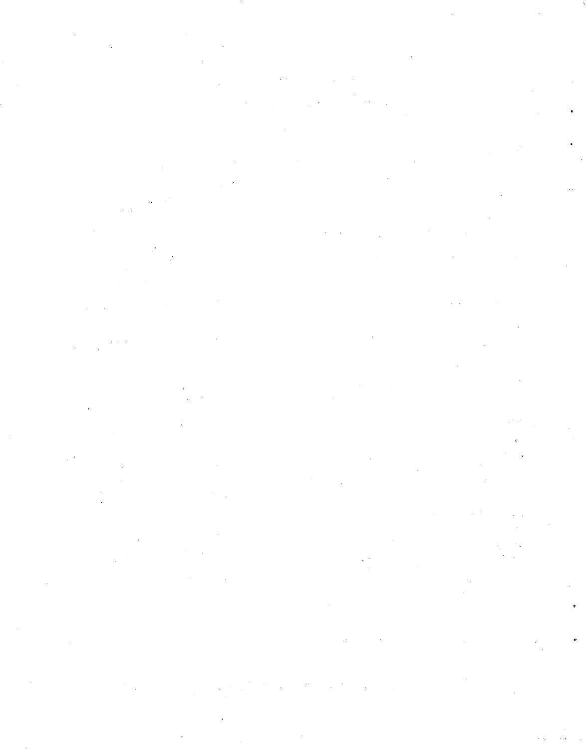$\label{eq:2.1} \frac{1}{2}\int_{\mathbb{R}^3} \frac{1}{\sqrt{2\pi}}\int_{\mathbb{R}^3} \frac{1}{\sqrt{2\pi}}\int_{\mathbb{R}^3} \frac{1}{\sqrt{2\pi}}\int_{\mathbb{R}^3} \frac{1}{\sqrt{2\pi}}\int_{\mathbb{R}^3} \frac{1}{\sqrt{2\pi}}\int_{\mathbb{R}^3} \frac{1}{\sqrt{2\pi}}\int_{\mathbb{R}^3} \frac{1}{\sqrt{2\pi}}\int_{\mathbb{R}^3} \frac{1}{\sqrt{2\pi}}\int_{\mathbb{R}^3} \$ 

 $\label{eq:2.1} \begin{split} \mathcal{L}^{(1)}(x) &= \mathcal{L}^{(1)}(x) \mathcal{L}^{(1)}(x) \mathcal{L}^{(1)}(x) \mathcal{L}^{(1)}(x) \mathcal{L}^{(1)}(x) \mathcal{L}^{(1)}(x) \mathcal{L}^{(1)}(x) \mathcal{L}^{(1)}(x) \mathcal{L}^{(1)}(x) \mathcal{L}^{(1)}(x) \mathcal{L}^{(1)}(x) \mathcal{L}^{(1)}(x) \mathcal{L}^{(1)}(x) \mathcal{L}^{(1)}(x) \mathcal{L}^{(1)}$ 

 $\label{eq:2.1} \frac{1}{\sqrt{2}}\sum_{i=1}^n\frac{1}{\sqrt{2}}\sum_{i=1}^n\frac{1}{\sqrt{2}}\sum_{i=1}^n\frac{1}{\sqrt{2}}\sum_{i=1}^n\frac{1}{\sqrt{2}}\sum_{i=1}^n\frac{1}{\sqrt{2}}\sum_{i=1}^n\frac{1}{\sqrt{2}}\sum_{i=1}^n\frac{1}{\sqrt{2}}\sum_{i=1}^n\frac{1}{\sqrt{2}}\sum_{i=1}^n\frac{1}{\sqrt{2}}\sum_{i=1}^n\frac{1}{\sqrt{2}}\sum_{i=1}^n\frac$ 

 $\label{eq:2} \begin{split} \mathcal{L}_{\text{max}} &= \frac{1}{2} \sum_{i=1}^{N} \frac{1}{2} \sum_{i=1}^{N} \frac{1}{2} \sum_{i=1}^{N} \frac{1}{2} \sum_{i=1}^{N} \frac{1}{2} \sum_{i=1}^{N} \frac{1}{2} \sum_{i=1}^{N} \frac{1}{2} \sum_{i=1}^{N} \frac{1}{2} \sum_{i=1}^{N} \frac{1}{2} \sum_{i=1}^{N} \frac{1}{2} \sum_{i=1}^{N} \frac{1}{2} \sum_{i=1}^{N} \frac{1}{2} \sum$ 

 $\label{eq:2.1} \mathcal{L}(\mathcal{L}(\mathcal{L}))=\mathcal{L}(\mathcal{L}(\mathcal{L}))=\mathcal{L}(\mathcal{L}(\mathcal{L}))=\mathcal{L}(\mathcal{L}(\mathcal{L}))=\mathcal{L}(\mathcal{L}(\mathcal{L}))=\mathcal{L}(\mathcal{L}(\mathcal{L}))=\mathcal{L}(\mathcal{L}(\mathcal{L}))=\mathcal{L}(\mathcal{L}(\mathcal{L}))=\mathcal{L}(\mathcal{L}(\mathcal{L}))=\mathcal{L}(\mathcal{L}(\mathcal{L}))=\mathcal{L}(\mathcal{L}(\mathcal{L}))=\mathcal{L}(\mathcal{L}(\$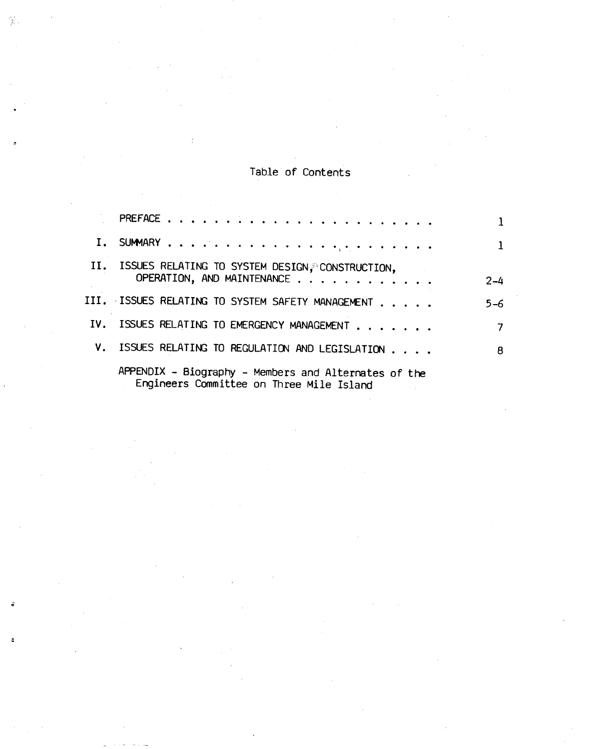### Table of Contents

ÿ.

 $\hat{\boldsymbol{\sigma}}$ 

 $\hat{\mathbf{S}}$ 

| II. ISSUES RELATING TO SYSTEM DESIGN, CONSTRUCTION,<br>OPERATION, AND MAINTENANCE                        | $2 - 4$ |
|----------------------------------------------------------------------------------------------------------|---------|
| III. ISSUES RELATING TO SYSTEM SAFETY MANAGEMENT                                                         | $5 - 6$ |
| IV. ISSUES RELATING TO EMERGENCY MANAGEMENT                                                              |         |
| V. ISSUES RELATING TO REGULATION AND LEGISLATION                                                         | 8       |
| APPENDIX - Biography - Members and Alternates of the<br>$\Gamma$ maineann Connthine as Thurs 1113, 7 a 1 |         |

 $\mathcal{L}_{\mathcal{A}}$ 

Engineers Committee on Three Mile Island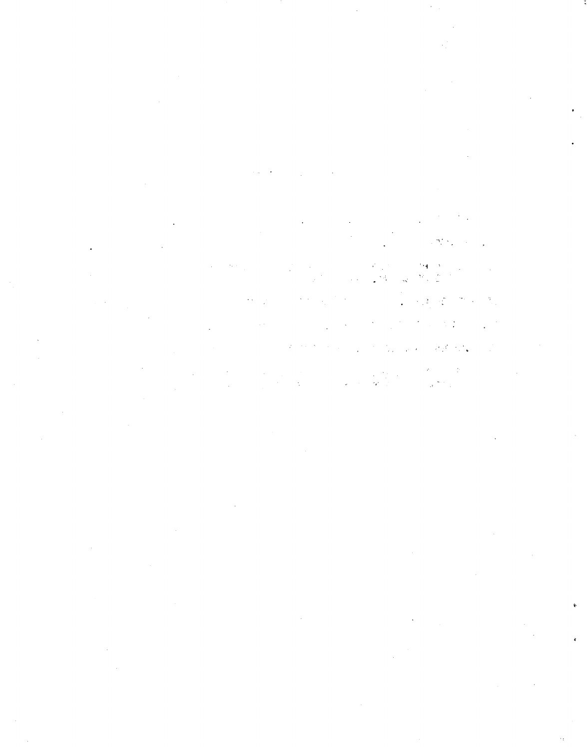$\label{eq:2.1} \frac{1}{\sqrt{2}}\int_{0}^{\infty}\frac{1}{\sqrt{2\pi}}\left(\frac{1}{\sqrt{2\pi}}\right)^{2}d\mu\,d\mu\,.$ 

 $\langle \alpha \rangle$ 

 $\label{eq:2.1} \frac{1}{\sqrt{2}}\int_{\mathbb{R}^3}\frac{1}{\sqrt{2}}\left(\frac{1}{\sqrt{2}}\right)^2\frac{1}{\sqrt{2}}\left(\frac{1}{\sqrt{2}}\right)^2\frac{1}{\sqrt{2}}\left(\frac{1}{\sqrt{2}}\right)^2\frac{1}{\sqrt{2}}\left(\frac{1}{\sqrt{2}}\right)^2.$  $\label{eq:2.1} \mathcal{L}(\mathcal{L}^{\mathcal{L}}_{\mathcal{L}}(\mathcal{L}^{\mathcal{L}}_{\mathcal{L}})) \leq \mathcal{L}(\mathcal{L}^{\mathcal{L}}_{\mathcal{L}}(\mathcal{L}^{\mathcal{L}}_{\mathcal{L}})) \leq \mathcal{L}(\mathcal{L}^{\mathcal{L}}_{\mathcal{L}}(\mathcal{L}^{\mathcal{L}}_{\mathcal{L}})) \leq \mathcal{L}(\mathcal{L}^{\mathcal{L}}_{\mathcal{L}}(\mathcal{L}^{\mathcal{L}}_{\mathcal{L}})) \leq \mathcal{L}(\mathcal{L$ 

 $\label{eq:2.1} \frac{1}{2}\sum_{i=1}^n\frac{1}{2}\sum_{j=1}^n\frac{1}{2}\sum_{j=1}^n\frac{1}{2}\sum_{j=1}^n\frac{1}{2}\sum_{j=1}^n\frac{1}{2}\sum_{j=1}^n\frac{1}{2}\sum_{j=1}^n\frac{1}{2}\sum_{j=1}^n\frac{1}{2}\sum_{j=1}^n\frac{1}{2}\sum_{j=1}^n\frac{1}{2}\sum_{j=1}^n\frac{1}{2}\sum_{j=1}^n\frac{1}{2}\sum_{j=1}^n\frac{1}{2}\sum_{j=1}^n\$ 

 $\label{eq:2.1} \frac{1}{2} \sum_{i=1}^n \frac{1}{2} \sum_{i=1}^n \frac{1}{2} \sum_{j=1}^n \frac{1}{2} \sum_{i=1}^n \frac{1}{2} \sum_{i=1}^n \frac{1}{2} \sum_{j=1}^n \frac{1}{2} \sum_{j=1}^n \frac{1}{2} \sum_{j=1}^n \frac{1}{2} \sum_{j=1}^n \frac{1}{2} \sum_{j=1}^n \frac{1}{2} \sum_{j=1}^n \frac{1}{2} \sum_{j=1}^n \frac{1}{2} \sum_{j=1}^n \frac{$ 

 $\label{eq:2.1} \frac{1}{\sqrt{2}}\int_{\mathbb{R}^3}\frac{1}{\sqrt{2}}\left(\frac{1}{\sqrt{2}}\right)^2\frac{1}{\sqrt{2}}\left(\frac{1}{\sqrt{2}}\right)^2\frac{1}{\sqrt{2}}\left(\frac{1}{\sqrt{2}}\right)^2\frac{1}{\sqrt{2}}\left(\frac{1}{\sqrt{2}}\right)^2\frac{1}{\sqrt{2}}\left(\frac{1}{\sqrt{2}}\right)^2\frac{1}{\sqrt{2}}\frac{1}{\sqrt{2}}\frac{1}{\sqrt{2}}\frac{1}{\sqrt{2}}\frac{1}{\sqrt{2}}\frac{1}{\sqrt{2}}$ 

 $\label{eq:2.1} \frac{1}{\sqrt{2}}\int_{\mathbb{R}^3}\frac{1}{\sqrt{2}}\left(\frac{1}{\sqrt{2}}\right)^2\frac{1}{\sqrt{2}}\left(\frac{1}{\sqrt{2}}\right)^2\frac{1}{\sqrt{2}}\left(\frac{1}{\sqrt{2}}\right)^2\frac{1}{\sqrt{2}}\left(\frac{1}{\sqrt{2}}\right)^2.$ 

 $\label{eq:2.1} \frac{1}{\sqrt{2\pi}}\int_{0}^{\infty} \frac{1}{\sqrt{2\pi}}\left(\frac{1}{\sqrt{2\pi}}\right)^{2\alpha} \frac{1}{\sqrt{2\pi}}\int_{0}^{\infty} \frac{1}{\sqrt{2\pi}}\left(\frac{1}{\sqrt{2\pi}}\right)^{\alpha} \frac{1}{\sqrt{2\pi}}\frac{1}{\sqrt{2\pi}}\int_{0}^{\infty} \frac{1}{\sqrt{2\pi}}\frac{1}{\sqrt{2\pi}}\frac{1}{\sqrt{2\pi}}\frac{1}{\sqrt{2\pi}}\frac{1}{\sqrt{2\pi}}\frac{1}{\sqrt$  $\label{eq:2.1} \mathcal{L}_{\mathcal{A}}(\mathcal{A})=\mathcal{L}_{\mathcal{A}}(\mathcal{A})\otimes\mathcal{L}_{\mathcal{A}}(\mathcal{A}).$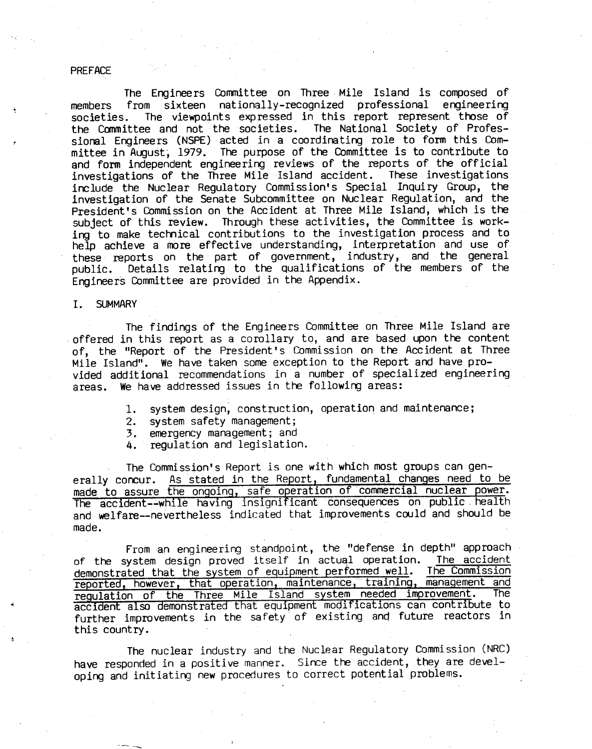#### PREFACE

The Engineers Committee on Three. Mile Island is composed of members from sixteen nationally-recognized professional engineering societies. The viewpoints expressed in this report represent those of the Committee and not the societies. The National Society of Professional Engineers (NSPE) acted in a coordinating role to form this Committee in August, 1979. The purpose of the Oommittee is to contribute to and form independent engineering reviews of the reports of the official investigations of the Three Mile Island accident. These investigations investigations of the Three Mile Island accident. include the Nuclear Regulatory Commission's Special Inquiry Group, the investigation of the Senate Subcommittee on Nuclear Regulation, and the President's Commission on the Accident at Three Mile Island, which is the subject of this review. Through these activities, the Committee is working to make technical contributions to the investigation process and to help achieve a more effective understanding, interpretation and use of these reports on the part of government, industry, and the general public. Details relating to the qualifications of the members of the Engineers Committee are provided in the Appendix.

#### I. SUMMARY

The findings of the Engineers Committee on Three Mile Island are offered in this report as a corollary to, and are based upon the content of, the "Report of the President's Commission on the Accident at Three Mile Island". We have taken some exception to the Report and have provided additional recommendations in a number of specialized engineering areas. We have addressed issues in the following areas:

- 1. system design, construction, operation and maintenance;
- 2. system safety management;
- 3. emergency management; and
- 4. regulation and legislation.

The Commission's Report is one with which most groups can generally concur. As stated in the Report, fundamental changes need to be made to assure the ongoing, safe operation of commercial nuclear power. The accident--while having insignificant consequences on public health and welfare--nevertheless indicated that improvements could and should be made.

From an engineering standpoint, the "defense in depth" approach The accident of the system design proved itself in actual operation. demonstrated that the system of equipment performed well. The Commission reported, however, that operation, maintenance, training, management and reputation of the Three Mile Island system needed improvement. The accident also demonstrated that equipment modifications can contribute to further improvements in the safety of existing and future reactors in this country.

The nuclear industry and the Nuclear Regulatory Commission (NRC) have responded in a positive manner. Since the accident, they are developing and initiating new procedures to correct potential problems.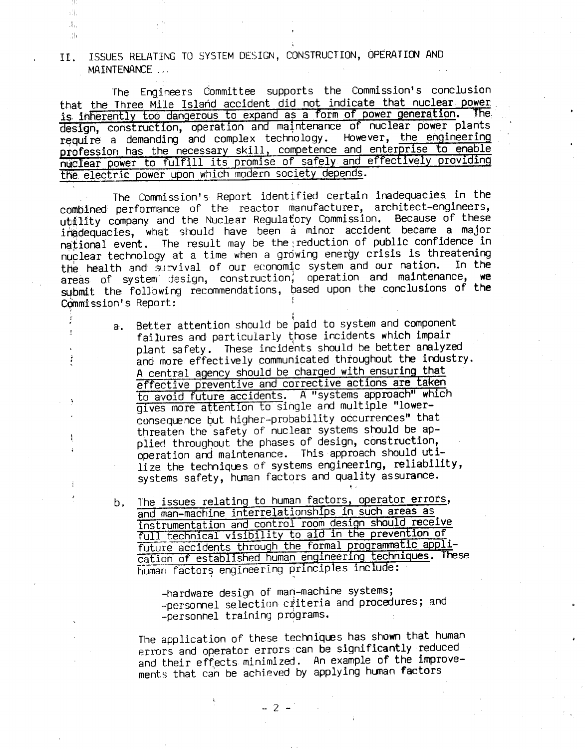II. ISSUES RELATING TO SYSTEM DESIGN, CONSTRUCTION, OPERATION AND MAINTENANCE ...

1,.

出

-9 式.

> ;<br>;; .

The Engineers Committee supports the Commission's conclusion that the Three Mile Island accident did not indicate that nuclear power is inherently too dangerous to expand as a form of power generation. The<br>design, construction, operation and maintenance of nuclear power plants The. require a demanding and complex technology. However, the engineering profession has the necessary skill, competence and enterprise to enable nuclear power to fulfill its promise of safely and effectively providing the electric power upon which modern society depends.

The Commission's Report identified certain inadequacies in the combined performance of the reactor manufacturer, architect-engineers, utility company and the Nuclear Regulatory Commission. Because of these inadequacies, what should have been a minor accident became a major national event. The result may be the:reduction of public confidence in nuclear technology at a time when a growing energy crisis is threatening<br>the boalth and survival of our economic system and our nation. In the the health and survival of our economic system and our nation. areas of system design, construction; operation and maintenance, **we** submit the following recommendations, based upon the conclusions of the Commission's Report:

- n 3 Report.<br>a. Better attention should be paid to system and component failures and part icularly those incidents which impair plant safety. These incidents should be better analyzed and more effectively communicated throughout the industry. A central agency should be charged with ensuring that effective preventive and corrective actions are taken to avoid future accidents. A "systems approach" which gi yes more attention to single and multiple "lowerconsequence but higher-probability occurrences" that threaten the safety of nuclear systems should be applied throughout the phases of design, construction, operation and maintenance. This approach should utilize the techniques of systems engineering, reliability, systems safety, human factors and quality assurance.
- The issues relating to human factors, operator errors, b. and man-machine interrelationships in such areas as instrumentation and control room design should receive <u>full technical visibility to aid in the prevention of</u> future accidents through the formal programmatic application of established human engineering techniques. These human factors engineering principles include:

-hardware design of man-machine systems; -personnel selection criteria and procedures; and -personnel training programs.

The application of these techniques has shown that human errors and operator errors can be significantly reduced and their effects. minimized. An example of the improvements that can be achieved by applying human factors

 $-2 -$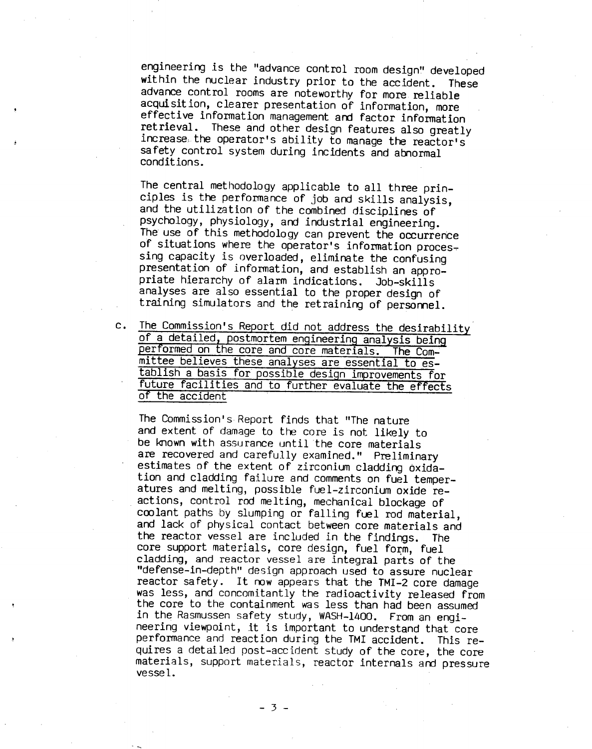engineerirg is the "advance control room design" developed within the nuclear industry prior to the accident. These advance control rooms are noteworthy for more reliable acquisition, clearer presentation of information, more effective information management and factor information retrieval. These and other design features also greatly increase; the operator's ability to manage the reactor's safety control system during incidents and abnormal conditions.

The central methodology applicable to all three principles is the performance of job and skills analysis, and the utilization of the combined disciplines of psychology, physiology, and industrial engineering. The use of this methodology can prevent the occurrence of situations where the operator's information processing capacity is overloaded, eliminate the confusing presentation of information, and establish an appropriate hierarchy of alarm indications. Job-skills analyses are also essential to the proper design of training simulators and the retraining of personnel.

c. The Commission's Report did not address the desirability of a detailed, postmortem engineering analysis being performed on the core and core materials. The Committee believes these analyses are essential to establish a basis for possible design improvements for future facilities and to further evaluate the effects of the accident

The Commission's Report finds that "The nature and extent of damage to the core is not likely to be known with assurance until the core materials are recovered and carefully examined." Preliminary estimates of the extent of zirconium cladding oxidation and cladding failure and comments on fuel temperatures and melting, possible fuel-zirconium oxide reactions, control rod melting, mechanical blockage of coolant paths by slumping or falling fuel rod material, and lack of physical contact between core materials and the reactor vessel are included in the findings. The core support materials, core design, fuel form, fuel cladding, and reactor vessel are integral parts of the "defense-in-depth" design approach used to assure nuclear reactor safety. It now appears that the TMI-2 core damage was less, and concomitantly the radioactivity released from the core to the containment was less than had been assumed in the Rasmussen safety study, WASH-1400. From an engineering viewpoint, it is important to understand that core performance and reaction during the TMI accident. This requires a detailed post-accident study of the core, the core materials, support materials, reactor internals and pressure vesse 1.

- 3 -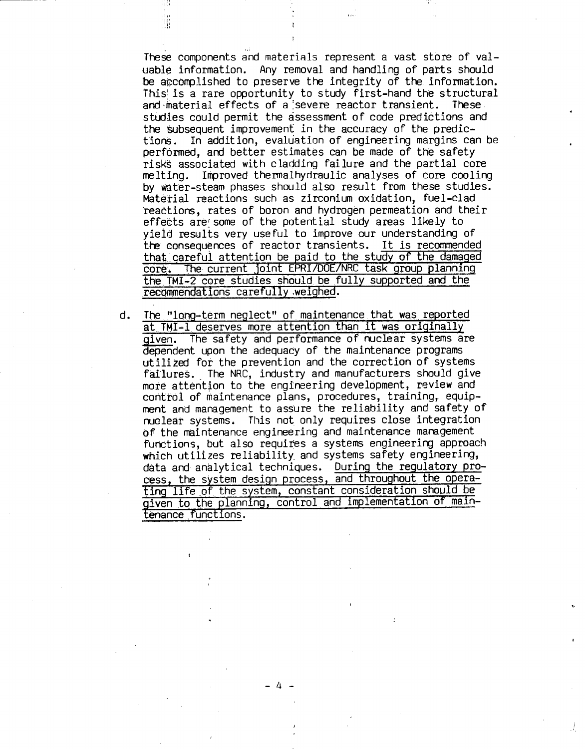These components and materials represent a vast store of valuable information. Any removal and handling of parts should be accomplished to preserve the integrity of the information. This' is a rare opportunity to study first-hand the structural and material effects of a severe reactor transient. These studies could permit the assessment of code predictions and the subsequent improvement in the accuracy of the predic-In addition, evaluation of engineering margins can be tions. performed, and better estimates can be made of the safety risks associated with cladding failure and the partial core melting. Improved thermalhydraulic analyses of core cooling by water-steam phases should also result from these studies. Material reactions such as zirconium oxidation, fuel-clad reactions, rates of boron and hydrogen permeation and their effects are some of the potential study areas likely to yield results very useful to improve our understanding of the consequences of reactor transients. It is recommended that careful attention be paid to the study of the damaged core. The current joint EPRI/DOE/NRC task group planning the TMI-2 core studies should be fully supported and the recommendations carefully weighed.

iii<br>iii<br>iiii

 $d_{\star}$ The "long-term neglect" of maintenance that was reported at TMI-1 deserves more attention than it was originally given. The safety and performance of nuclear systems are dependent upon the adequacy of the maintenance programs utilized for the prevention and the correction of systems failures. The NRC, industry and manufacturers should give more attention to the engineering development, review and control of maintenance plans, procedures, training, equipment and management to assure the reliability and safety of nuclear systems. This not only requires close integration of the maintenance engineering and maintenance management functions, but also requires a systems engineering approach which utilizes reliability and systems safety engineering, data and analytical techniques. During the regulatory process, the system design process, and throughout the operating life of the system, constant consideration should be given to the planning, control and implementation of maintenance functions.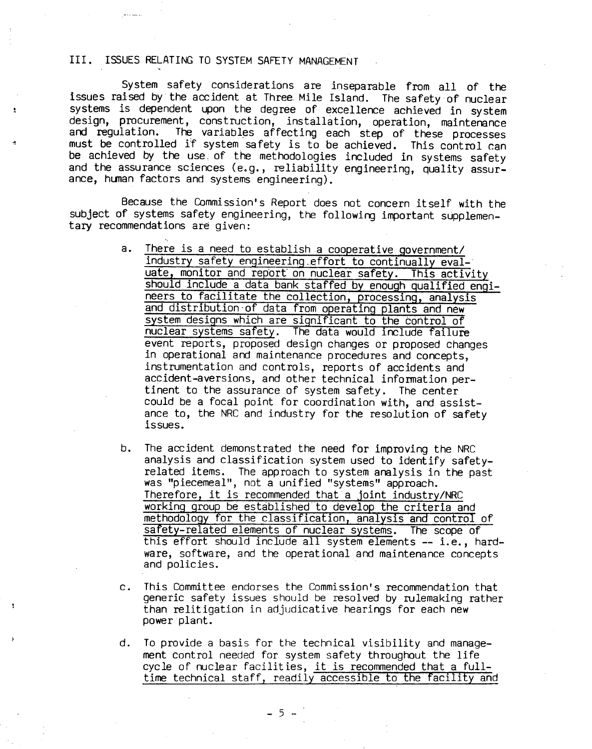### III. ISSUES RELATING TO SYSTEM SAFETY MANAGEMENT

System safety considerations are inseparable from all of the issues raised by the accident at Three Mile Island. The safety of nuclear systems is dependent upon the degree of excellence achieved in system design, procurement, construction, installation, operation, maintenance<br>and requlation. The variables affecting each step of these processes The variables affecting each step of these processes must be controlled if system safety is to be achieved. This control can be achieved by the use of the methodologies included in systems safety and the assurance sciences (e.g., reliability engineering, quality assurance, human factors and systems engineering).

Because the Commission's Report does not concern itself with the subject of systems safety engineering, the following important supplementary recommendations are given:

- a. There is a need to establish a cooperative government/ industry safety engineering effort to continually evaluate, monitor and report on nuclear safety. This activity should include a data bank staffed by enough qualified engineers to facilitate the collection, processing, analysis and distribution-of data from operating plants and new system designs which are significant to the control of nuclear systems safety. The data would include failure event reports, proposed design changes or proposed changes in operational and maintenance procedures and concepts, instrumentation and controls, reports of accidents and accident-aversions, and other technical information pertinent to the assurance of system safety. The center could be a focal point for coordination with, and assistance to, the NRC and industry for the resolution of safety issues.
- b. The accident demonstrated the need for improving the NRC analysis and classification system used to identify safetyrelated items. The approach to system analysis in the past was "piecemeal", not a unified "systems" approach. Therefore, it is recommended that a joint industry/NRC working group be established to develop the criteria and<br>methodology for the classification, analysis and control of working group be established to develop the criteria and safety-related elements of nuclear systems. The scope of this effort should include all system elements -- *i.e.,* hardware, software, and the operational and maintenance concepts and policies.
- c. This Committee endorses the Commission's recommendation that generic safety issues should be resolved by rulemaking rather than relitigation in adjudicative hearings for each new power plant.
- d. To provide a basis for the technical visibility and management control needed for system safety throughout the life cycle of nuclear facilities, it is recommended that a fulltime technical staff, readily accessible to the facility and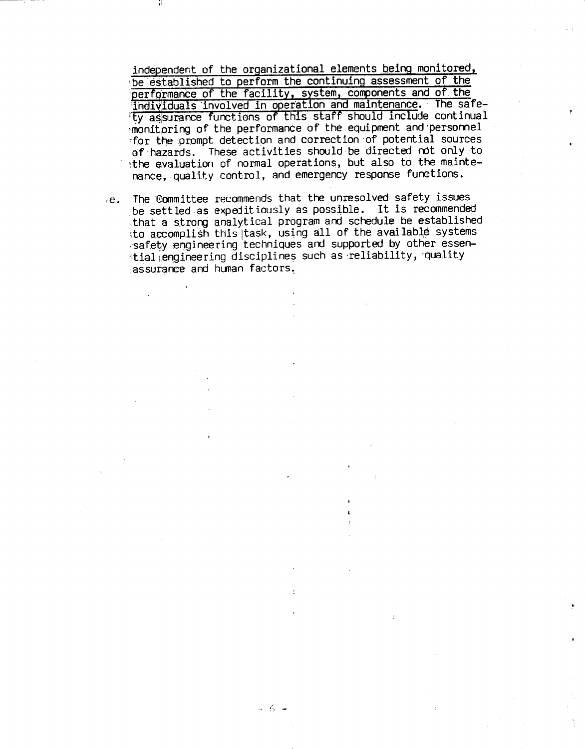independent of the organizational elements being monitored, be established to perform the continuing assessment of the performance of the facility, system, components and of the Individuals involved in operation and maintenance. The safety assurance functions of this staff should include continual emonitoring of the performance of the equipment and personnel for the prompt detection and correction of potential sources of hazards. These activities should be directed not only to ithe evaluation of normal operations, but also to the maintenance, quality control, and emergency response functions.

e. The Committee recommends that the unresolved safety issues be settled as expeditiously as possible. It is recommended that a strong analytical program and schedule be established to accomplish this task, using all of the available systems safety engineering techniques and supported by other essential engineering disciplines such as reliability, quality assurance and human factors,

 $\mathbb{R} \times \mathbb{R}$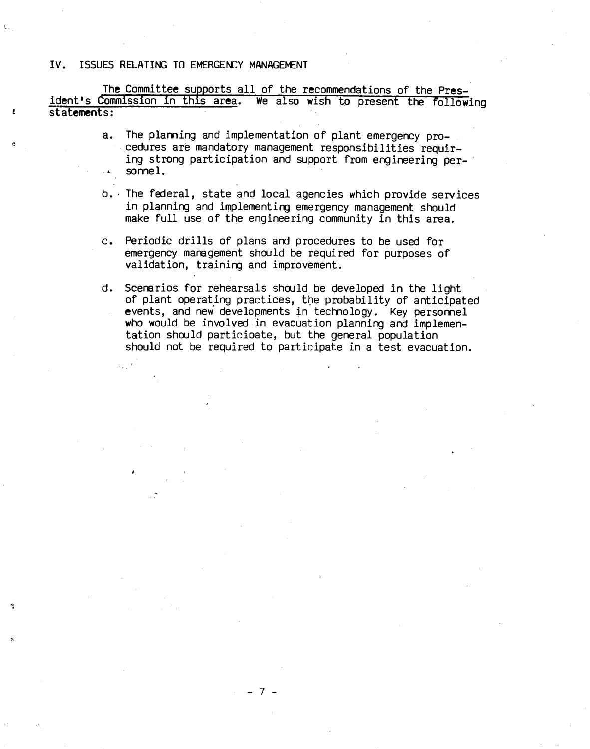#### IV. ISSUES RELATING TO EMERGENCY MANAGEMENT

The Committee supports all of the recommendations of the President's Commission in this area. We also wish to present the following statements:

- a. The planning and implementation of plant emergency procedures are mandatory management responsibilities requiring strong participation and support from engineering per-' sonnel.
- b. The federal, state and local agencies which provide services in planning and implementing emergency management should make full use of the engineering community in this area.
- c. Periodic drills of plans and procedures to be used for emergency management should be required for purposes of validation, training and improvement.

- 7 -

d. Scenarios for rehearsals should be developed in the light of plant operating practices, the probability of anticipated events, and new developments in technology. Key personnel who would be involved in evacuation planning and implementation should participate, but the general population should not be required to participate in a test evacuation.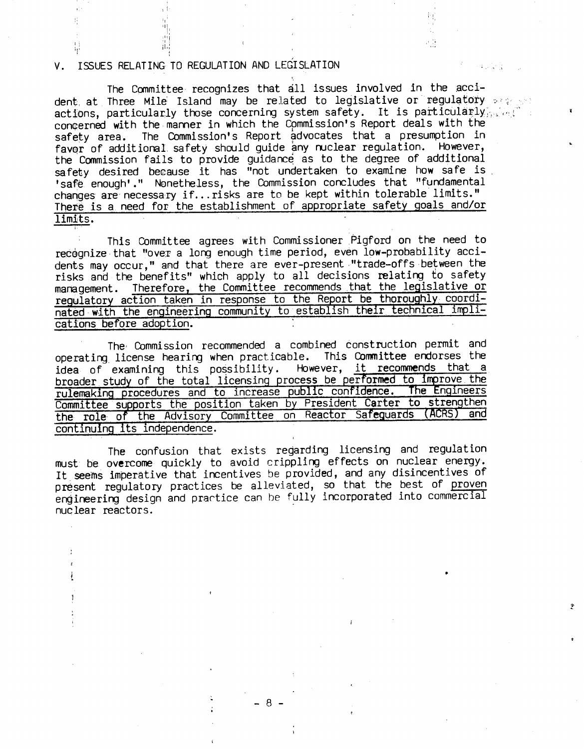#### ISSUES RELATING TO REGULATION AND LEGISLATION  $V_{-}$

ij

냪

The Committee recognizes that all issues involved in the accident at Three Mile Island may be related to legislative or requlatory and set actions, particularly those concerning system safety. It is particularly and concerned with the manner in which the Commission's Report deals with the The Commission's Report advocates that a presumption in safety area. favor of additional safety should quide any nuclear requlation. However, the Commission fails to provide guidance as to the degree of additional<br>safety desired because it has "not undertaken to examine how safe is 'safé enough'." Nonetheless, the Commission concludes that "fundamental changes are necessary if...risks are to be kept within tolerable limits." There is a need for the establishment of appropriate safety goals and/or limits.

a storie

 $\bullet$ 

This Committee agrees with Commissioner Pigford on the need to recognize that "over a long enough time period, even low-probability accidents may occur," and that there are ever-present "trade-offs between the risks and the benefits" which apply to all decisions relating to safety Therefore, the Committee recommends that the legislative or management. regulatory action taken in response to the Report be thoroughly coordinated with the engineering community to establish their technical implications before adoption.

The Commission recommended a combined construction permit and operating license hearing when practicable. This Committee endorses the idea of examining this possibility. However, it recommends that a broader study of the total licensing process be performed to improve the rulemaking procedures and to increase public confidence. The Engineers Committee supports the position taken by President Carter to strengthen the role of the Advisory Committee on Reactor Safeguards (ACRS) and continuing its independence.

The confusion that exists regarding licensing and regulation must be overcome quickly to avoid crippling effects on nuclear energy. It seems imperative that incentives be provided, and any disincentives of present regulatory practices be alleviated, so that the best of proven engineering design and practice can be fully incorporated into commercial nuclear reactors.

8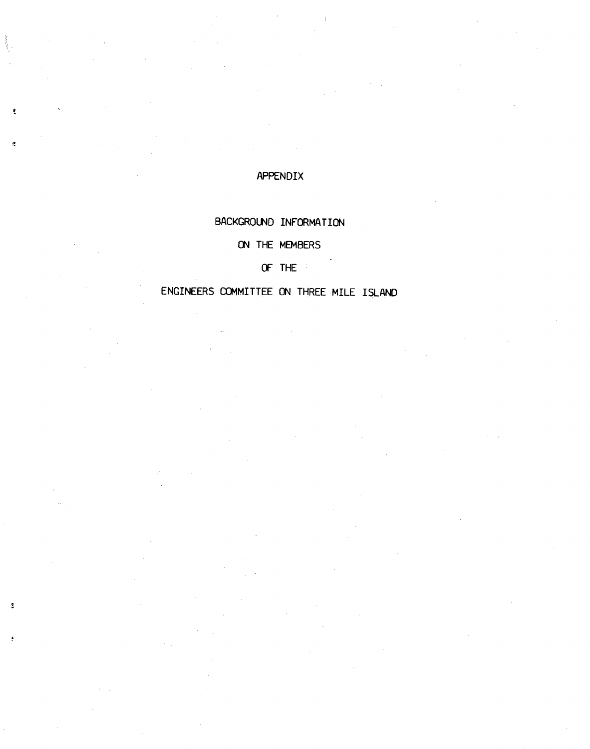### APPENDIX

### BACKGROUND INFORMATION

### ON THE MEMBERS

### OF THE **F**

### ENGINEERS COMMITTEE ON THREE MILE ISLAND

 $\bullet$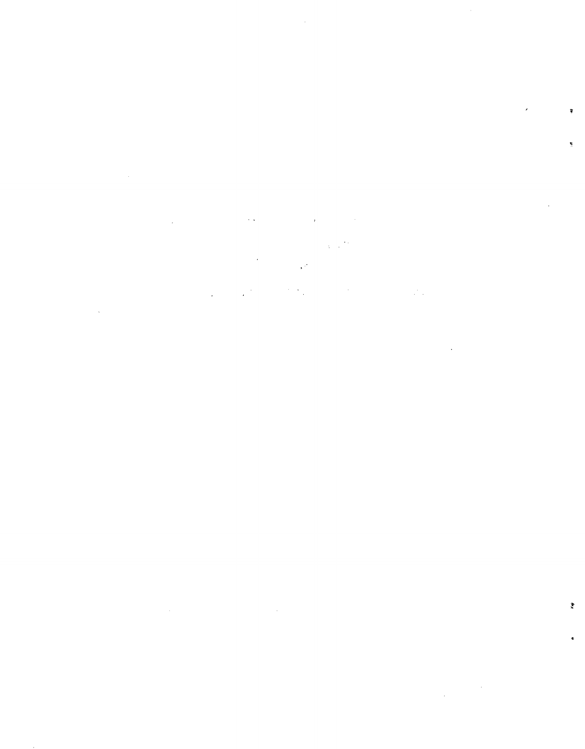$\mathcal{L}(\mathcal{L})$  and  $\mathcal{L}(\mathcal{L})$  . Let

 $\label{eq:2.1} \mathcal{L}(\mathcal{L}) = \mathcal{L}(\mathcal{L}) \mathcal{L}(\mathcal{L}) = \mathcal{L}(\mathcal{L}) \mathcal{L}(\mathcal{L}) = \mathcal{L}(\mathcal{L})$ 

 $\label{eq:2.1} \frac{1}{\sqrt{2}}\left(\frac{1}{\sqrt{2}}\right)^{2} \left(\frac{1}{\sqrt{2}}\right)^{2} \left(\frac{1}{\sqrt{2}}\right)^{2} \left(\frac{1}{\sqrt{2}}\right)^{2} \left(\frac{1}{\sqrt{2}}\right)^{2} \left(\frac{1}{\sqrt{2}}\right)^{2} \left(\frac{1}{\sqrt{2}}\right)^{2} \left(\frac{1}{\sqrt{2}}\right)^{2} \left(\frac{1}{\sqrt{2}}\right)^{2} \left(\frac{1}{\sqrt{2}}\right)^{2} \left(\frac{1}{\sqrt{2}}\right)^{2} \left(\$ 

 $\hat{\mathbf{r}}$ 

 $\label{eq:2.1} \frac{1}{2} \int_{\mathbb{R}^3} \frac{1}{\sqrt{2}} \, \frac{1}{\sqrt{2}} \, \frac{1}{\sqrt{2}} \, \frac{1}{\sqrt{2}} \, \frac{1}{\sqrt{2}} \, \frac{1}{\sqrt{2}} \, \frac{1}{\sqrt{2}} \, \frac{1}{\sqrt{2}} \, \frac{1}{\sqrt{2}} \, \frac{1}{\sqrt{2}} \, \frac{1}{\sqrt{2}} \, \frac{1}{\sqrt{2}} \, \frac{1}{\sqrt{2}} \, \frac{1}{\sqrt{2}} \, \frac{1}{\sqrt{2}} \, \frac{1}{\sqrt{2}} \,$ 

 $\label{eq:2.1} \mathcal{L}(\mathcal{L}(\mathcal{L}))=\mathcal{L}(\mathcal{L}(\mathcal{L}))=\mathcal{L}(\mathcal{L}(\mathcal{L}))=\mathcal{L}(\mathcal{L}(\mathcal{L}))=\mathcal{L}(\mathcal{L}(\mathcal{L}))=\mathcal{L}(\mathcal{L}(\mathcal{L}))=\mathcal{L}(\mathcal{L}(\mathcal{L}))=\mathcal{L}(\mathcal{L}(\mathcal{L}))=\mathcal{L}(\mathcal{L}(\mathcal{L}))=\mathcal{L}(\mathcal{L}(\mathcal{L}))=\mathcal{L}(\mathcal{L}(\mathcal{L}))=\mathcal{L}(\mathcal{L}(\$ 

 $\label{eq:2.1} \frac{1}{\sqrt{2}}\int_{\mathbb{R}^3}\frac{1}{\sqrt{2}}\left(\frac{1}{\sqrt{2}}\right)^2\frac{1}{\sqrt{2}}\left(\frac{1}{\sqrt{2}}\right)^2\frac{1}{\sqrt{2}}\left(\frac{1}{\sqrt{2}}\right)^2\frac{1}{\sqrt{2}}\left(\frac{1}{\sqrt{2}}\right)^2\frac{1}{\sqrt{2}}\left(\frac{1}{\sqrt{2}}\right)^2\frac{1}{\sqrt{2}}\frac{1}{\sqrt{2}}\frac{1}{\sqrt{2}}\frac{1}{\sqrt{2}}\frac{1}{\sqrt{2}}\frac{1}{\sqrt{2}}$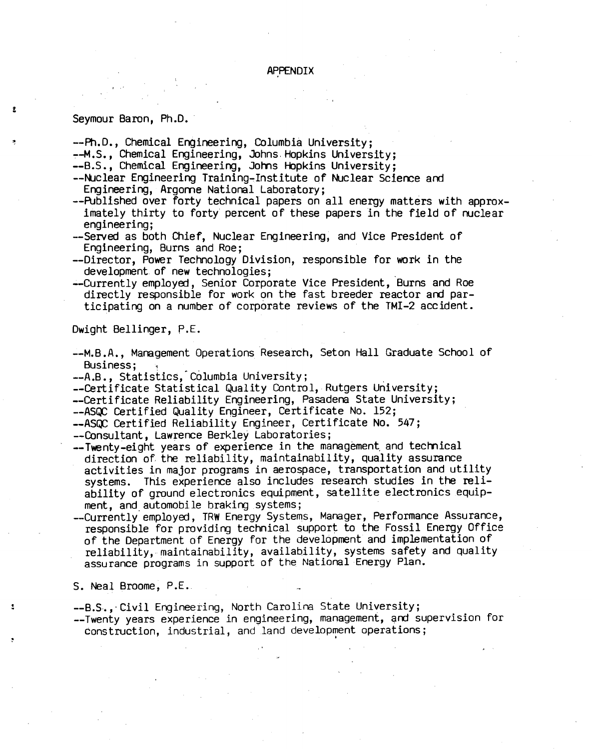#### **APPENDIX**

### Seymour Baron, Ph.D.

**!** 

--Ph.D., Chemical Engineering, Columbia University;

- --M.S., Chemical Engineering, Johns, Hopkins University;
- --B.S., Chemical Engineering, Johns Hopkins University;
- --Nuclear Engineering Training~Institute of Nuclear Science and Engineering, Argonne National Laboratory;
- --Published over forty technical papers on all energy matters with approximately thirty to forty percent of these papers in the field of nuclear engineering;
- --Served as both Chief, Nuclear Engineering, and Vice President of Engineering, Burns and Roe;
- --Director, Power Technology Division, responsible for work in the development of new technologies;
- --Currently employed, Senior Corporate Vice President, 'Burns and Roe directly responsible for work on the fast breeder reactor and participating on a number of corporate reviews of the TMI-2 accident.

Dwight Bellinger, P.E.

- --M.B.A., Management Operations Research, Seton Hall Graduate School of Business; ,
- --A.B., Statistics,' Columbia University;
- --certificate Statistical Quality Control, Rutgers University;
- --Certificate Reliability Engineering, Pasadena State University;
- --ASOC certified Quality Engineer, Certificate No. 152;
- --ASOC Certified Reliability Engineer, Certificate No. 547;
- --Consultant, Lawrence Berkley Laboratories;
- -- Twenty-eight years of experience in the management and technical direction of the reliability, maintainability, quality assurance activities in major programs in aerospace, transportation and utility systems. This experience also includes research studies in the reliability of ground electronics equipment, satellite electronics equipment, and automobile braking systems;
- --Currently employed, TRW Energy Systems, Manager, Performance Assurance, responsible for providing technical support to the Fossil Energy Office of the Department of Energy for the development and implementation of reliability, maintainability, availability, systems safety and quality assurance programs in support of the National Energy Plan.

S. Neal Broome, P.E.

--BS. ,'Civil Engineering, North Carolina State University; --Twenty years experience in engineering, management, and supervision for construction, industrial, and land development operations;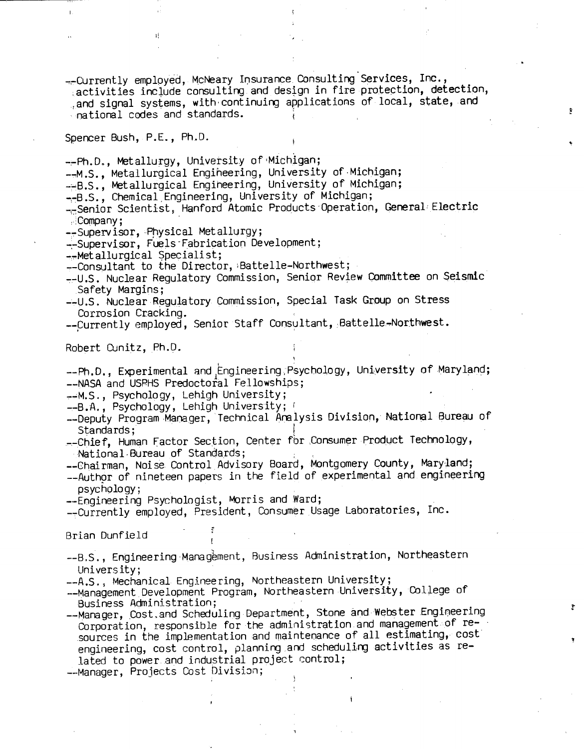-- Currently employed, McNeary Insurance Consulting Services, Inc., activities include consulting and design in fire protection, detection. and signal systems, with continuing applications of local, state, and national codes and standards. Spencer Bush, P.E., Ph.D. --Ph.D., Metallurgy, University of Michigan; --M.S., Metallurgical Engineering, University of Michigan; -B.S., Metallurgical Engineering, University of Michigan; -B.S.. Chemical Engineering, University of Michigan; -Senior Scientist, Hanford Atomic Products Operation. General Electric Company: --Supervisor, Physical Metallurgy; --Supervisor, Fuels Fabrication Development; --Metallurgical Specialist; --Consultant to the Director, Battelle-Northwest; --U.S. Nuclear Regulatory Commission, Senior Review Committee on Seismic Safety Margins; -- U.S. Nuclear Regulatory Commission, Special Task Group on Stress Corrosion Cracking. --Currently employed, Senior Staff Consultant, Battelle-Northwest. Robert Cunitz, Ph.D. --Ph.D., Experimental and Engineering Psychology, University of Maryland; --NASA and USPHS Predoctoral Fellowships; --M.S., Psychology, Lehigh University; --B.A., Psychology, Lehigh University; --Deputy Program Manager, Technical Analysis Division, National Bureau of Standards; --Chief, Human Factor Section, Center for Consumer Product Technology, National Bureau of Standards; --Chairman, Noise Control Advisory Board, Montgomery County, Maryland; --Author of nineteen papers in the field of experimental and engineering psychology; --Engineering Psychologist, Morris and Ward; --Currently employed, President, Consumer Usage Laboratories, Inc. Brian Dunfield --B.S., Engineering Management, Business Administration, Northeastern University: --A.S., Mechanical Engineering, Northeastern University; --Management Development Program, Northeastern University, College of Business Administration; --Manager, Cost.and Scheduling Department, Stone and Webster Engineering Corporation, responsible for the administration and management of resources in the implementation and maintenance of all estimating, cost engineering, cost control, planning and scheduling activities as related to power and industrial project control; --Manager, Projects Cost Division;

å.

īÍ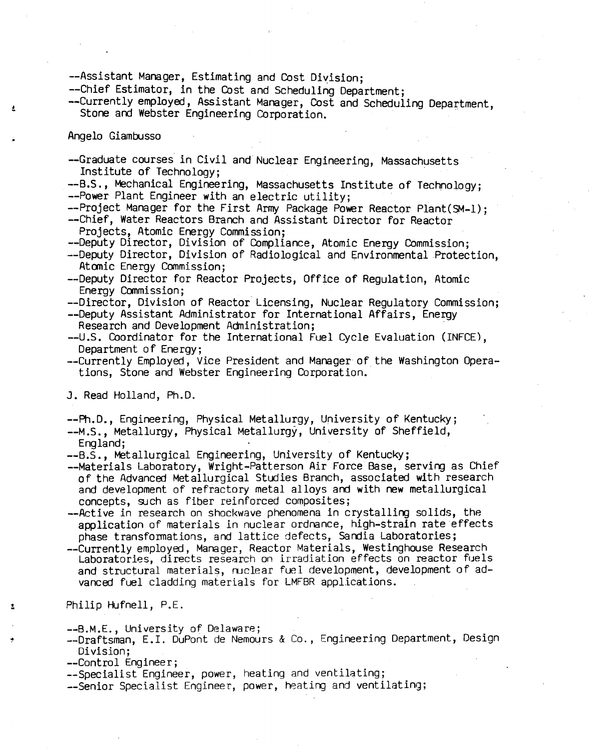--Assistant Manager, Estimating and Cost Division;

--Chief Estimator, in the Cost and Scheduling Department;

--Currently employed, Assistant Manager, Cost and Scheduling Department, Stone and Webster Engineering Corporation.

Angelo Giambusso

--Graduate courses in Civil and Nuclear Engineering, Massachusetts Institute of Technology; .

--B.S., Mechanical Engineering, Massachusetts Institute of Technology; --Power Plant Engineer with an electric utility;

--Project Manager for the First Army Package Power Reactor Plant(SM-I); --Chief, Water Reactors Branch and Assistant Director for Reactor

Projects, Atomic Energy Commission;

--Deputy Director, Division of Compliance, Atomic Energy Commission;

- --Deputy Director, Division of Radiological and Environmental Protection, Atomic Energy Commission;
- --Deputy Director for Reactor Projects, Office of Regulation, Atomic Energy Commission;

--Director, Division of Reactor Licensing, Nuclear Regulatory Commission; --Deputy Assistant Administrator for International Affairs, Energy Research and Development Administration;

--U.S. Coordinator for the International Fuel *Cycle* Evaluation (INFCE), Department of Energy;

--Currently Employed, Vice President and Manager of the Washington Operations, Stone and Webster Engineering Corporation.

J. Read Holland, Ph.D.

--Ph.D., Engineering, Physical Metallurgy, University of Kentucky;

--M.S., Metallurgy, Physical Metallurgy, University of Sheffield, England;

- --B.S., Metallurgical Engineering, University of Kentucky;
- --Materials Laboratory, Wright-Patterson Air Force Base, serving as Chief of the Advanced Metallurgical Studies Branch, associated with research and development of refractory metal alloys and with new metallurgical concepts, such as fiber reinforced composites;
- --Active in research on shockwave phenomena in crystalling solids, the application of materials in nuclear ordnance, high-strain rate effects phase transformations, and lattice defects, Sardia Laboratories;
- --Currently employed, Manager, Reactor Materials, Westinghouse Research Laboratories, directs research on irradiation effects on reactor fuels and structural materials, nuclear fuel development, development of advanced fuel cladding materials for LMFBR applications.

Philip Hufnell, P.E.

--8.M.E., University of Delaware;

- --Draftsman, E.I. DuPont de Nemours & Co., Engineering Department, Design Division;
- --Control Engineer;

--Specialist Engineer, power, heating and ventilating;

--Senior Specialist Engineer, power, heating and ventilating;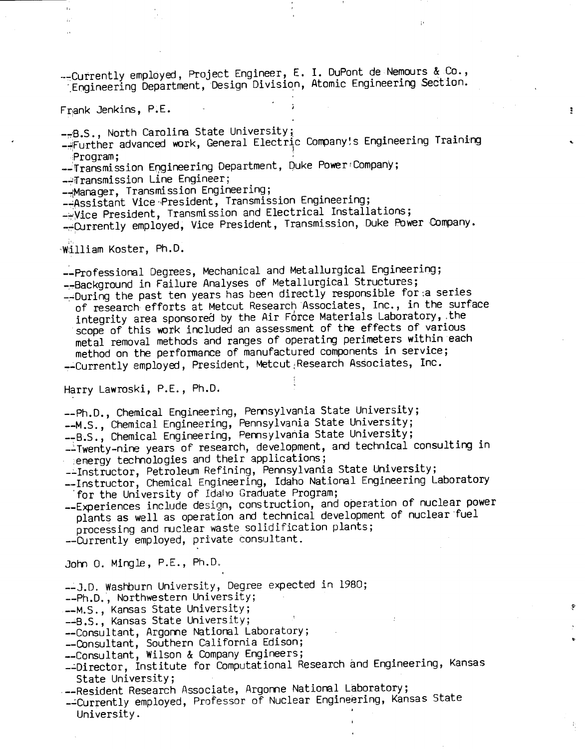$-$ -Currently employed, Project Engineer, E. I. DuPont de Nemours & Co., 'Engineering Department, Design Division, Atomic Engineering Section.

F~ank Jenkins, P.E.

-B.S., North Carolina State University;  $-$  Further advanced work, General Electric Company's Engineering Training Program; ;

 $\overline{\bullet}$ 

 $\tau$ ransmission Engineering Department, Duke Power:Company;

-~~ransmission Line Engineer;

-~Manager, Transmission Engineering;

 $-\frac{1}{2}$ Assistant Vice President, Transmission Engineering;

-~Yice President, Transmission and Electrical Installations;

--Currently employed, Vice President, Transmission, Duke Power Company.

william Koster, Ph.D.

--Professional Degrees, Mechanical and Metallurgical Engineering; ~~Background in Failure Analyses of Metallurgical Structures; --During the past ten years has been directly responsible for a series of research efforts at Metcut Research Associates, Inc., in the surface integrity area sponsored by the Air Force Materials Laboratory, the scope of this work included an assessment of the effects of various metal removal methods and ranges of operating perimeters within each method on the performance of manufactured components in service; ~~Currently employed, President, Metcut;Research Associates, Inc.

Harry Lawroski, P.E., Ph.D.

--Ph.D., Chemical Engineering, Pennsylvania state University; --M.S., Chemical Engineering, Pennsylvania state University; --B.S., Chemical Engineering, Pennsylvania State University; -- Twenty-nine years of research, development, and technical consulting in ,energy technologies and their applications; -~Instructor, Petroleum Refining, Pennsylvania state University; --Instructor, Chemical Engineering, Idaho National Engineering Laboratory 'for the University of Idaho Graduate Program; --Experiences include design, construction, and operation of nuclear power plants as well as operation and technical development of nuclear fuel processing and ruclear waste solidification plants; --Currently employed, private consultant. Jom O. Mingle, P.E., Ph.D. --J.D. Washburn University, Degree expected in 1980; --Ph .0." Northwestern University; --M.S., Kansas state University; -~B.S., Kansas State University; --Consultant, Argonne National Laboratory; --Consultant, Southern California Edison; --Consultant, Wilson & Company Engineers; --Director, Institute for Computational Research and Engineering, Kansas State University; --Resident Research Associate, Argonne National Laboratory;

--Currently employed, Professor of Nuclear Engineering, Kansas State University.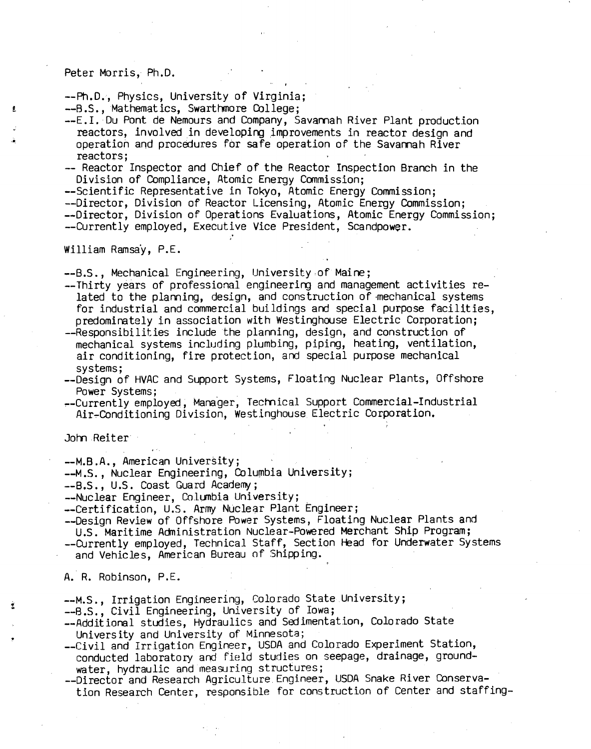#### Peter Morris, Ph.D.

!<br>!

.,e;

### --Ph. D., Physics, University of Virginia;

- --B.S., Mathematics, Swarthmore College;
- --E.I. Du Pont de Nemours and Company, Savannah River Plant production reactors, involved in developing improvements in reactor design and operation and procedures for safe operation of the Savannah River reactors;
- -- Reactor Inspector and Chief of the Reactor Inspection Branch in the Division of Compliance, Atomic Energy Commission;
- --Scientific Representative in Tokyo, Atomic Energy Commission;
- --Director, Division of Reactor Licensing, Atomic Energy Commission; --Director, Division of Operations Evaluations, Atomic Energy Commission; --Currently employed, Executive Vice President, Scandpower.

William Ramsay, P.E.

--B.S., Mechanical Engineering, University ,of Maine;

- --Thirty years of professional engineerirg and management activities related to the planning, design, and construction of mechanical systems for industrial and commercial buildings and special purpose facilities, predominately in association with Westinghouse Electric Corporation;
- --Responsibilities include the planning, design, and construction of mechanical systems including plumbing, piping, heating, ventilation, air conditioning, fire protection, and special purpose mechanical systems;
- --Design of HVAC and Support Systems, Floating Nuclear Plants, Offshore Power Systems;
- ~-Currently employed, Manager, Technical Support Commercial-Industrial Air~Conditioning Division, Westinghouse Electric Corporation.

#### Jom Reiter

--M.B.A., American University;

- --M.S., Nuclear Engineering, Columbia University;
- --B.S., U.S. Coast Guard Academy;
- --Nuclear Engineer, Columbia University;
- --Certification, U.s. Army Nuclear Plant Engineer;

--Design Review of Offshore Power Systems, Floating Nuclear Plants and U.S. Maritime Administration Nuclear-Powered Merchant Ship Program;

--Currently employed, Technical Staff, Section Head for Underwater Systems and Vehicles, American Bureau of Shipping.

A. R. Robinson, P.E.

- --M.S., Irrigation Engineering, Colorado State University;
- --B.S., Civil Engineering, University of Iowa;
- --Additional studies, Hydraulics and Sedimentation, Colorado State University and University of Minnesota;
- --Civil and Irrigation Engineer, USDA and Colorado Experiment Station, conducted laboratory and field studies on seepage, drainage, groundwater, hydraulic and measuring structures;
- --Director and Research Agriculture Engineer, USDA Snake River Conservation Research Center, responsible for construction of Center and staffing-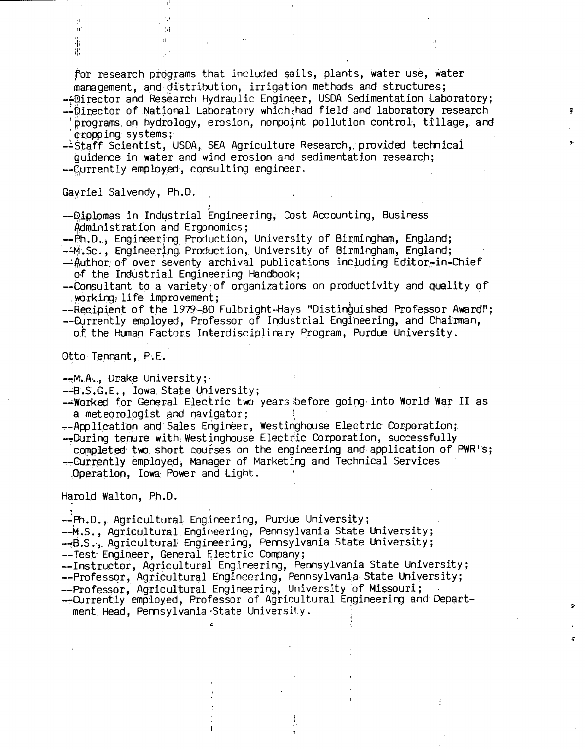for research programs that included soils, plants, water use, water management, and distribution, irrigation methods and structures; -- Director and Research Hydraulic Engineer, USDA Sedimentation Laboratory; --Director of National Laboratory which had field and laboratory research programs on hydrology, erosion, nonpoint pollution control, tillage, and cropping systems:

-Staff Scientist, USDA, SEA Agriculture Research, provided technical quidence in water and wind erosion and sedimentation research; --Currently employed, consulting engineer.

Gavriel Salvendy, Ph.D.

ăв 出.

Лī  $\mathbf{I}_{\mathcal{A}}$ 出社  $\bar{\mathbf{H}}$ 

--Diplomas in Industrial Engineering, Cost Accounting, Business Administration and Ergonomics;

--Ph.D., Engineering Production, University of Birmingham, England; -- M.Sc., Engineering Production, University of Birmingham, England;

--Author of over seventy archival publications including Editor-in-Chief of the Industrial Engineering Handbook;

--Consultant to a variety: of organizations on productivity and quality of working life improvement;

--Recipient of the 1979-80 Fulbright-Hays "Distinguished Professor Award"; --Currently employed, Professor of Industrial Engineering, and Chairman,

of the Human Factors Interdisciplinary Program, Purdue University.

Otto Tennant, P.E.

--M.A., Drake University;

--B.S.G.E., Iowa State University;

- -- Worked for General Electric two years before going into World War II as a meteorologist and navigator;
- --Application and Sales Engineer, Westinghouse Electric Corporation; --During tenure with Westinghouse Electric Corporation, successfully

completed two short courses on the engineering and application of PWR's; --Currently employed, Manager of Marketing and Technical Services Operation, Iowa Power and Light.

Harold Walton, Ph.D.

--Ph.D., Agricultural Engineering, Purdue University; --M.S., Agricultural Engineering, Pennsylvania State University; --B.S., Agricultural Engineering, Pennsylvania State University; -- Test Engineer, General Electric Company; --Instructor, Agricultural Engineering, Pennsylvania State University;<br>--Professor, Agricultural Engineering, Pennsylvania State University; --Professor, Agricultural Engineering, University of Missouri; --Currently employed, Professor of Agricultural Engineering and Department Head, Pennsylvania State University.

¢

G,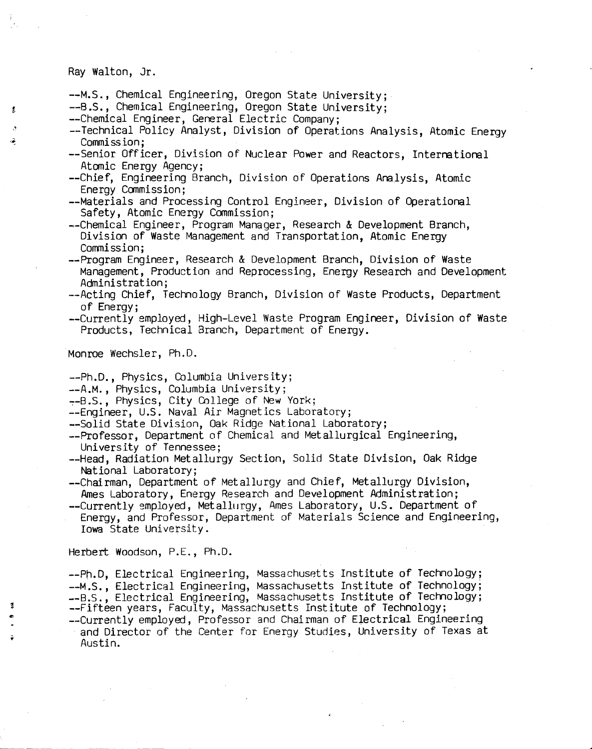Ray Walton, Jr.

--M.S., Chemical Engineering, Oregon state University;

--B.S., Chemical Engineering, Oregon State University;

--Chemical Engineer, General Electric Company;

--Technical Policy Analyst, Division of Operations Analysis, Atomic Energy Commission;

- --Senior Officer, Division of Nuclear Power and Reactors, International Atomic Energy Agency;
- --Chief, Engineering Branch, Division of Operations Analysis, Atomic Energy Commission;
- --Materials and Processing Control Engineer, Division of Operational Safety, Atomic Energy Commission;
- --Chemical Engineer, Program Manager, Research & Development Branch, Division of Waste Management and Transportation, Atomic Energy Commission;
- --Program Engineer, Research & Development Branch, Division of Waste Management, Production and Reprocessing, Energy Research and Development Administration;
- --Acting Chief, Technology Branch, Division of Waste Products, Department of Energy;
- --Currently employed, High-Level Waste Program Engineer, Division of Waste Products, Technical Branch, Department of Energy.

Monroe Wechsler, Ph.D.

--Ph.D., Physics, Columbia University;

--A.M., Physics, Columbia University;

~-B.S., Physics, City Oollege of New York;

--Engineer, U.S. Naval Air Magnetics Laboratory;

--Solid State Division, Oak Ridge National Laboratory;

--Professor, Department of Chemical and Metallurgical Engineering, University of Tennessee;

--Head, Radiation Metallurgy Section, Solid State Division, Oak Ridge National Laboratory;

--Chairman, Department of Metallurgy and Chief, Metallurgy Division, Ames Laboratory, Energy Research and Development Administration;

--Currently employed, Metallurgy, Ames Laboratory, U.S. Department of Energy, and Professor, Department of Materials Science and Engineering, Iowa State University.

Herbert Woodson, P.E., Ph.D.

--Ph.D, Electrical Engineering, Massachusetts Institute of Technology; --M.S., Electrical Engineering, Massachusetts Institute of Technology; --B.S., Electrical Engineering, Massachusetts Institute of Technology; --Fifteen years, Faculty, Massachusetts Institute of Technology; --Currently employed, Professor and Chairman of Electrical Engineering and Director of the Center for Energy Studies, University of Texas at Austin.